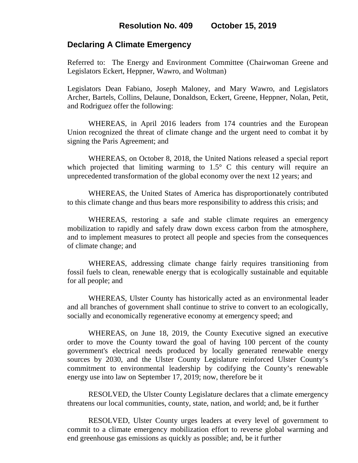## **Declaring A Climate Emergency**

Referred to: The Energy and Environment Committee (Chairwoman Greene and Legislators Eckert, Heppner, Wawro, and Woltman)

Legislators Dean Fabiano, Joseph Maloney, and Mary Wawro, and Legislators Archer, Bartels, Collins, Delaune, Donaldson, Eckert, Greene, Heppner, Nolan, Petit, and Rodriguez offer the following:

WHEREAS, in April 2016 leaders from 174 countries and the European Union recognized the threat of climate change and the urgent need to combat it by signing the Paris Agreement; and

WHEREAS, on October 8, 2018, the United Nations released a special report which projected that limiting warming to  $1.5^{\circ}$  C this century will require an unprecedented transformation of the global economy over the next 12 years; and

WHEREAS, the United States of America has disproportionately contributed to this climate change and thus bears more responsibility to address this crisis; and

WHEREAS, restoring a safe and stable climate requires an emergency mobilization to rapidly and safely draw down excess carbon from the atmosphere, and to implement measures to protect all people and species from the consequences of climate change; and

WHEREAS, addressing climate change fairly requires transitioning from fossil fuels to clean, renewable energy that is ecologically sustainable and equitable for all people; and

WHEREAS, Ulster County has historically acted as an environmental leader and all branches of government shall continue to strive to convert to an ecologically, socially and economically regenerative economy at emergency speed; and

WHEREAS, on June 18, 2019, the County Executive signed an executive order to move the County toward the goal of having 100 percent of the county government's electrical needs produced by locally generated renewable energy sources by 2030, and the Ulster County Legislature reinforced Ulster County's commitment to environmental leadership by codifying the County's renewable energy use into law on September 17, 2019; now, therefore be it

RESOLVED, the Ulster County Legislature declares that a climate emergency threatens our local communities, county, state, nation, and world; and, be it further

RESOLVED, Ulster County urges leaders at every level of government to commit to a climate emergency mobilization effort to reverse global warming and end greenhouse gas emissions as quickly as possible; and, be it further